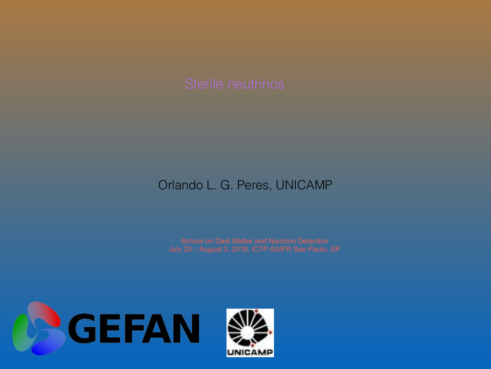#### Orlando L. G. Peres, UNICAMP

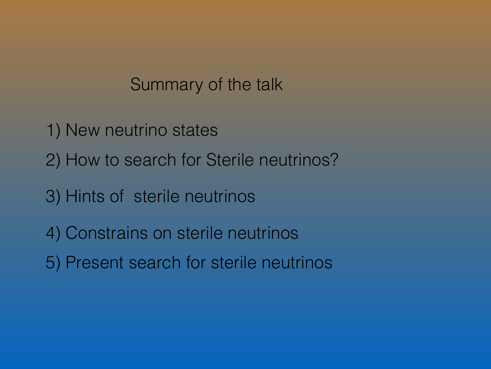#### Summary of the talk

- 1) New neutrino states
- 2) How to search for Sterile neutrinos?
- 3) Hints of sterile neutrinos
- 4) Constrains on sterile neutrinos
- 5) Present search for sterile neutrinos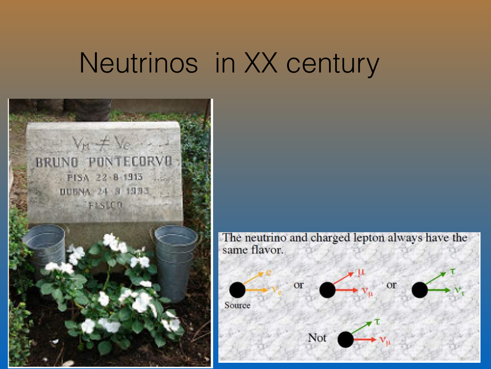# Neutrinos in XX century



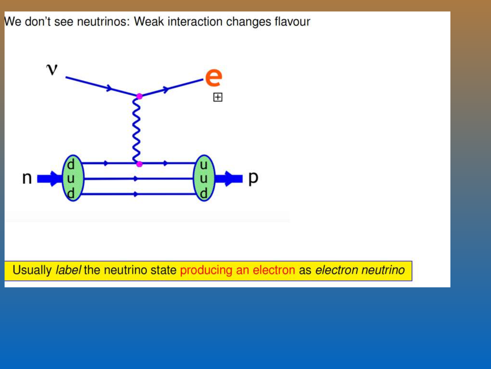We don't see neutrinos: Weak interaction changes flavour

![](_page_3_Figure_1.jpeg)

Usually label the neutrino state producing an electron as electron neutrino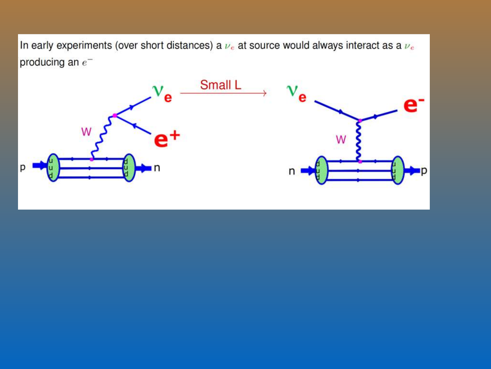In early experiments (over short distances) a  $\nu_e$  at source would always interact as a  $\nu_e$ producing an  $e^-$ 

![](_page_4_Figure_1.jpeg)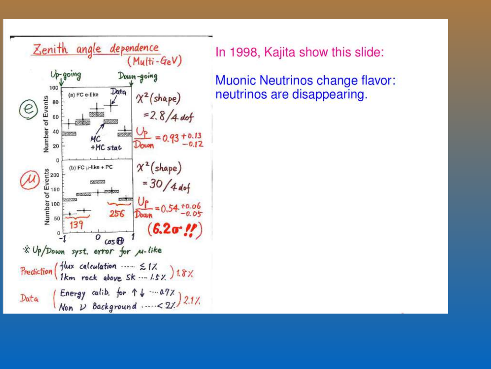![](_page_5_Figure_0.jpeg)

In 1998, Kajita show this slide:

**Muonic Neutrinos change flavor:** neutrinos are disappearing.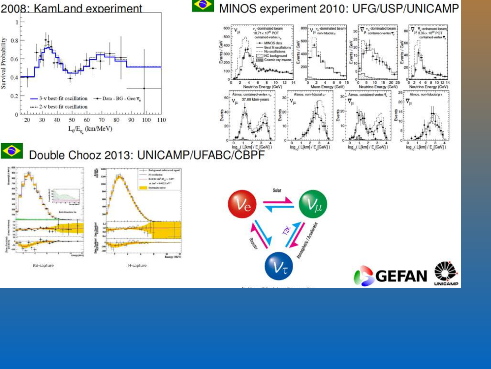![](_page_6_Figure_0.jpeg)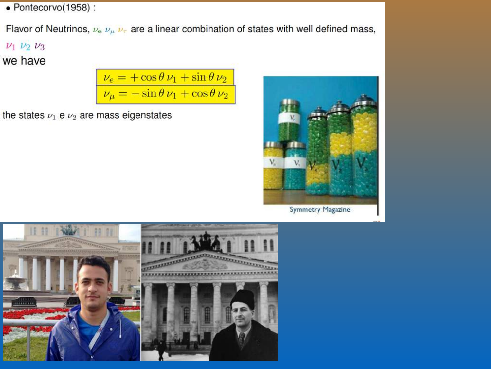$\bullet$  Pontecorvo(1958):

Flavor of Neutrinos,  $\nu_e \nu_\mu \nu_\tau$  are a linear combination of states with well defined mass,

 $\nu_1$   $\nu_2$   $\nu_3$ 

we have

$$
\frac{\nu_e = +\cos\theta \,\nu_1 + \sin\theta \,\nu_2}{\nu_\mu = -\sin\theta \,\nu_1 + \cos\theta \,\nu_2}
$$

the states  $\nu_1$  e  $\nu_2$  are mass eigenstates

![](_page_7_Picture_6.jpeg)

![](_page_7_Picture_7.jpeg)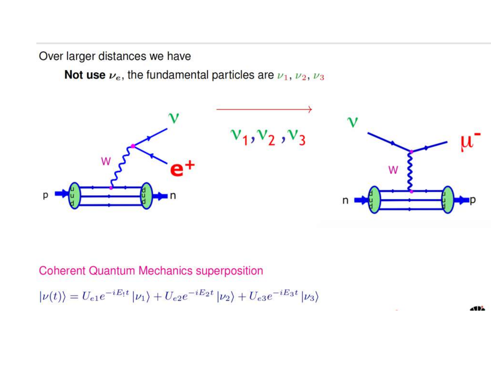Over larger distances we have

Not use  $\nu_e$ , the fundamental particles are  $\nu_1, \nu_2, \nu_3$ 

![](_page_8_Figure_2.jpeg)

**Coherent Quantum Mechanics superposition** 

$$
|\nu(t)\rangle = U_{e1}e^{-iE_1t}|\nu_1\rangle + U_{e2}e^{-iE_2t}|\nu_2\rangle + U_{e3}e^{-iE_3t}|\nu_3\rangle
$$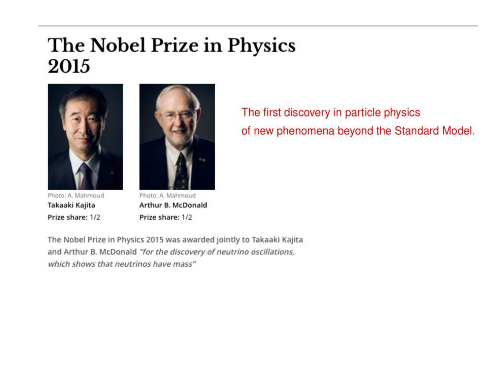## The Nobel Prize in Physics 2015

![](_page_9_Picture_1.jpeg)

Photo: A. Mahmoud Takaaki Kajita Prize share: 1/2

![](_page_9_Picture_3.jpeg)

Photo: A. Mahmoud Arthur B. McDonald Prize share: 1/2

The first discovery in particle physics of new phenomena beyond the Standard Model.

The Nobel Prize in Physics 2015 was awarded jointly to Takaaki Kajita and Arthur B. McDonald "for the discovery of neutrino oscillations, which shows that neutrinos have mass"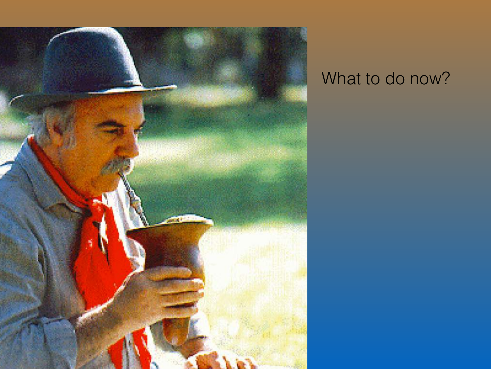![](_page_10_Picture_0.jpeg)

## What to do now?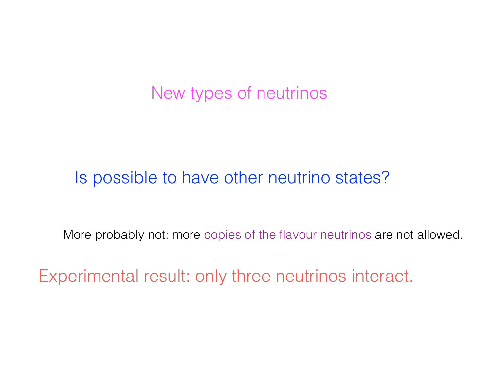New types of neutrinos

Is possible to have other neutrino states?

More probably not: more copies of the flavour neutrinos are not allowed.

Experimental result: only three neutrinos interact.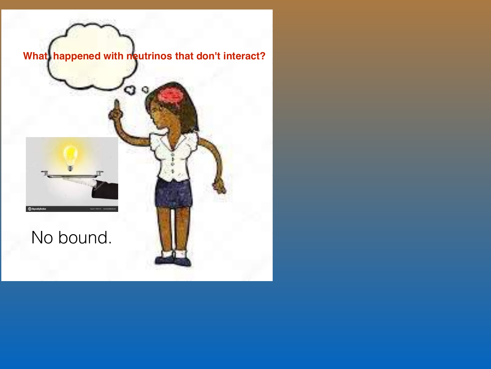![](_page_12_Picture_0.jpeg)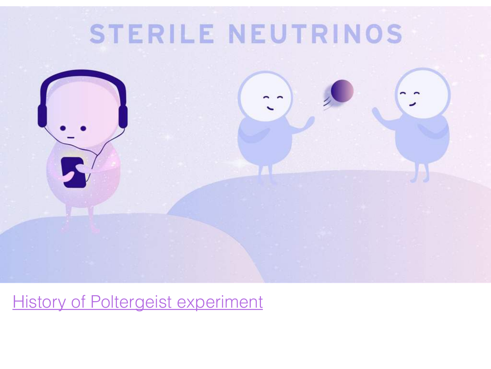# STERILE NEUTRINOS

![](_page_13_Picture_1.jpeg)

## **[History of Poltergeist experiment](http://permalink.lanl.gov/object/tr?what=info:lanl-repo/lareport/LA-UR-97-2534-02)**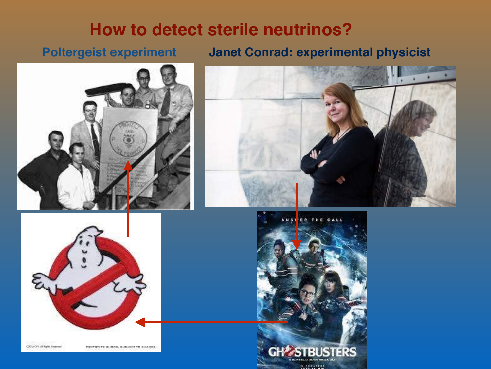#### **How to detect sterile neutrinos?**

#### **Poltergeist experiment**

#### **Janet Conrad: experimental physicist**

![](_page_14_Picture_3.jpeg)

![](_page_14_Picture_4.jpeg)

![](_page_14_Picture_5.jpeg)

**DOEM OFF ALRAHA FEARTH** MASSING WAS SHOWN, BURGEST TO SHANGE

![](_page_14_Picture_7.jpeg)

![](_page_14_Picture_8.jpeg)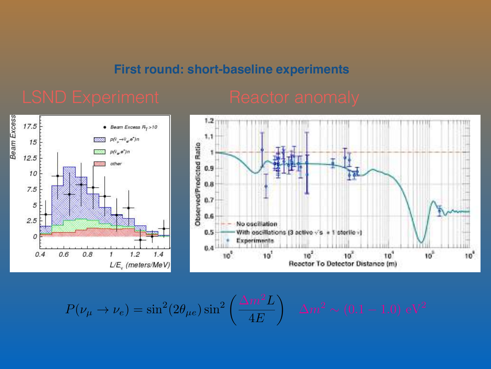#### **First round: short-baseline experiments**

![](_page_15_Figure_3.jpeg)

![](_page_15_Figure_4.jpeg)

$$
P(\nu_{\mu} \to \nu_{e}) = \sin^{2}(2\theta_{\mu e})\sin^{2}\left(\frac{\Delta m^{2}L}{4E}\right) \quad \Delta m^{2} \sim (0.1 - 1.0) \text{ eV}^{2}
$$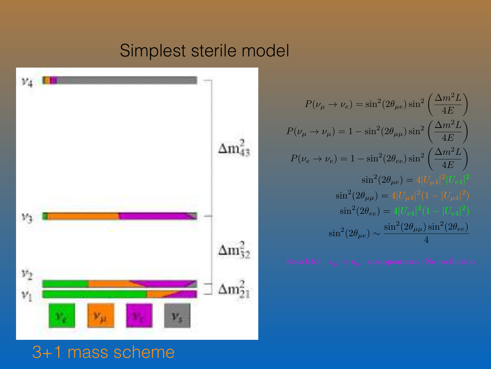### Simplest sterile model

![](_page_16_Figure_1.jpeg)

$$
P(\nu_{\mu} \to \nu_{e}) = \sin^{2}(2\theta_{\mu e})\sin^{2}\left(\frac{\Delta m^{2}L}{4E}\right)
$$
  
\n
$$
P(\nu_{\mu} \to \nu_{\mu}) = 1 - \sin^{2}(2\theta_{\mu\mu})\sin^{2}\left(\frac{\Delta m^{2}L}{4E}\right)
$$
  
\n
$$
P(\nu_{e} \to \nu_{e}) = 1 - \sin^{2}(2\theta_{ee})\sin^{2}\left(\frac{\Delta m^{2}L}{4E}\right)
$$
  
\n
$$
\sin^{2}(2\theta_{\mu e}) = 4|U_{\mu 4}|^{2}|U_{e4}|^{2}
$$
  
\n
$$
\sin^{2}(2\theta_{\mu\mu}) = 4|U_{\mu 4}|^{2}(1 - |U_{\mu 4}|^{2})
$$
  
\n
$$
\sin^{2}(2\theta_{ee}) = 4|U_{e4}|^{2}(1 - |U_{e4}|^{2})
$$
  
\n
$$
\sin^{2}(2\theta_{\mu e}) \sim \frac{\sin^{2}(2\theta_{\mu\mu})\sin^{2}(2\theta_{ee})}{4}
$$

### 3+1 mass scheme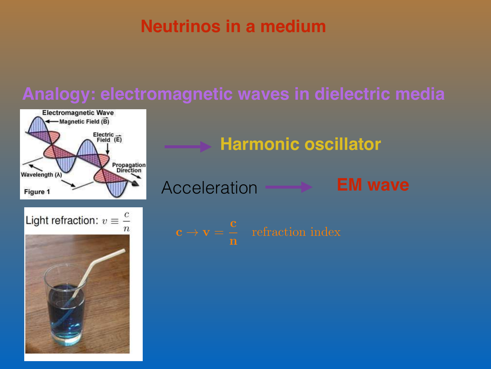### **Neutrinos in a medium**

# **Analogy: electromagnetic waves in dielectric media**

![](_page_17_Figure_2.jpeg)

**Harmonic oscillator**

Acceleration **EM wave**

![](_page_17_Picture_5.jpeg)

![](_page_17_Figure_6.jpeg)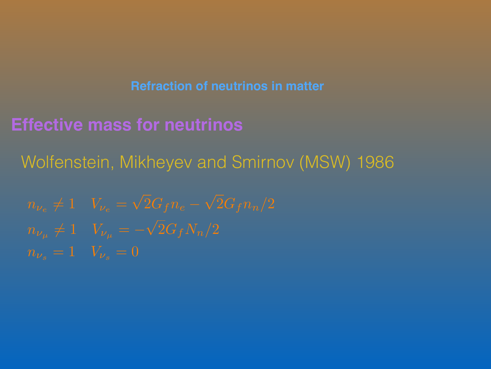**Refraction of neutrinos in matter**

**Effective mass for neutrinos**

Wolfenstein, Mikheyev and Smirnov (MSW) 1986

 $= \sqrt{2}G_{f}n_{e} - \sqrt{2}G_{f}n_{n}/2$  $n_{\nu_{\mu}} \neq 1$  *V* $_{\nu_{\mu}} = 2G_fN_n/2$  $n_{\nu_s}=1$  *V* $_{\nu_s}=0$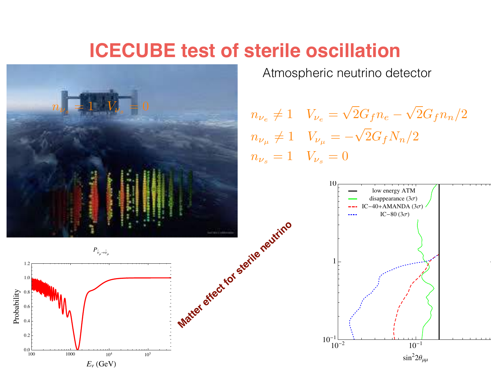# **ICECUBE test of sterile oscillation**

![](_page_19_Picture_1.jpeg)

Atmospheric neutrino detector

 $n_{\nu_e}\neq 1$  *V* $_{\nu_e}$  $= \sqrt{2}G_{f}n_{e} - \sqrt{2}G_{f}n_{n}/2$  $n_{\nu_{\mu}} \neq 1$   $V_{\nu_{\mu}} = \sqrt{ }$  $2G_fN_n/2$  $n_{\nu_s}=1$   $V_{\nu_s}=0$ 

![](_page_19_Figure_4.jpeg)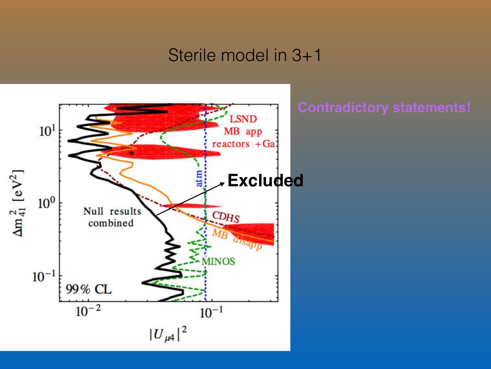#### Sterile model in 3+1

![](_page_20_Figure_1.jpeg)

#### **Contradictory statements!**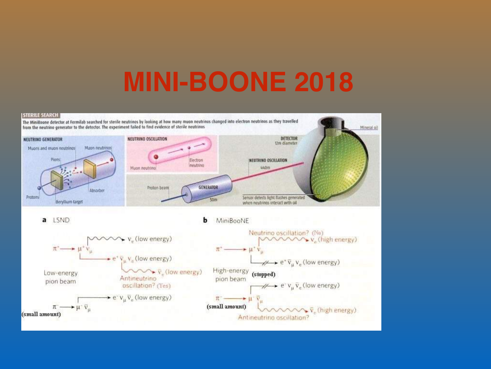# **MINI-BOONE 2018**

#### **STERILE SEARCH**

![](_page_21_Figure_2.jpeg)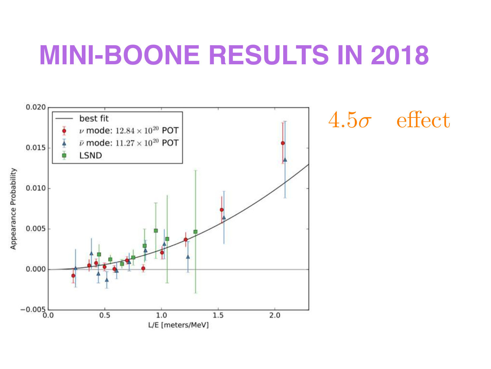# **MINI-BOONE RESULTS IN 2018**

![](_page_22_Figure_1.jpeg)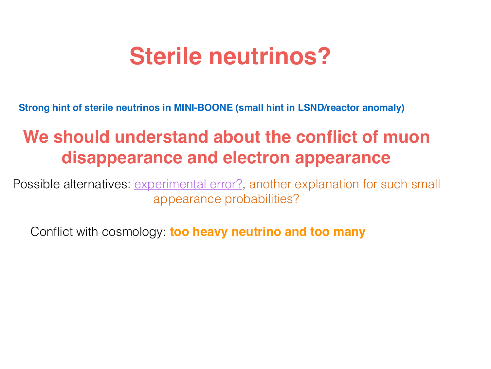# **Sterile neutrinos?**

**Strong hint of sterile neutrinos in MINI-BOONE (small hint in LSND/reactor anomaly)**

## **We should understand about the conflict of muon disappearance and electron appearance**

Possible alternatives: *experimental error?*, another explanation for such small appearance probabilities?

Conflict with cosmology: **too heavy neutrino and too many**